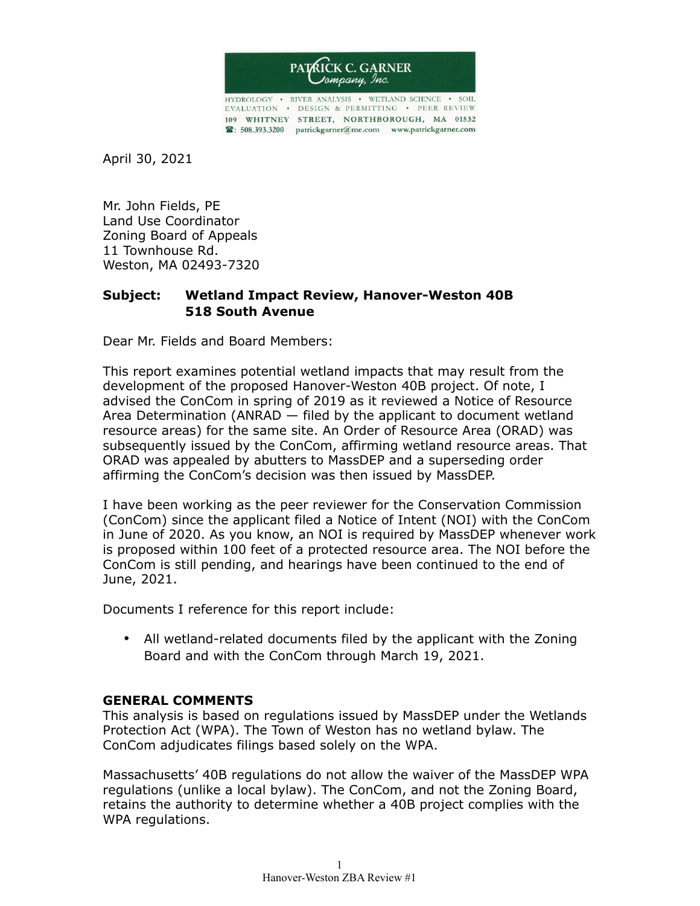

HYDROLOGY • RIVER ANALYSIS • WETLAND SCIENCE • SOIL EVALUATION . DESIGN & PERMITTING . PEER REVIEW 109 WHITNEY STREET, NORTHBOROUGH, MA 01532 8: 508.393.3200 patrickgarner@me.com www.patrickgarner.com

April 30, 2021

Mr. John Fields, PE Land Use Coordinator Zoning Board of Appeals 11 Townhouse Rd. Weston, MA 02493-7320

## **Subject: Wetland Impact Review, Hanover-Weston 40B 518 South Avenue**

Dear Mr. Fields and Board Members:

This report examines potential wetland impacts that may result from the development of the proposed Hanover-Weston 40B project. Of note, I advised the ConCom in spring of 2019 as it reviewed a Notice of Resource Area Determination (ANRAD — filed by the applicant to document wetland resource areas) for the same site. An Order of Resource Area (ORAD) was subsequently issued by the ConCom, affirming wetland resource areas. That ORAD was appealed by abutters to MassDEP and a superseding order affirming the ConCom's decision was then issued by MassDEP.

I have been working as the peer reviewer for the Conservation Commission (ConCom) since the applicant filed a Notice of Intent (NOI) with the ConCom in June of 2020. As you know, an NOI is required by MassDEP whenever work is proposed within 100 feet of a protected resource area. The NOI before the ConCom is still pending, and hearings have been continued to the end of June, 2021.

Documents I reference for this report include:

• All wetland-related documents filed by the applicant with the Zoning Board and with the ConCom through March 19, 2021.

## **GENERAL COMMENTS**

This analysis is based on regulations issued by MassDEP under the Wetlands Protection Act (WPA). The Town of Weston has no wetland bylaw. The ConCom adjudicates filings based solely on the WPA.

Massachusetts' 40B regulations do not allow the waiver of the MassDEP WPA regulations (unlike a local bylaw). The ConCom, and not the Zoning Board, retains the authority to determine whether a 40B project complies with the WPA regulations.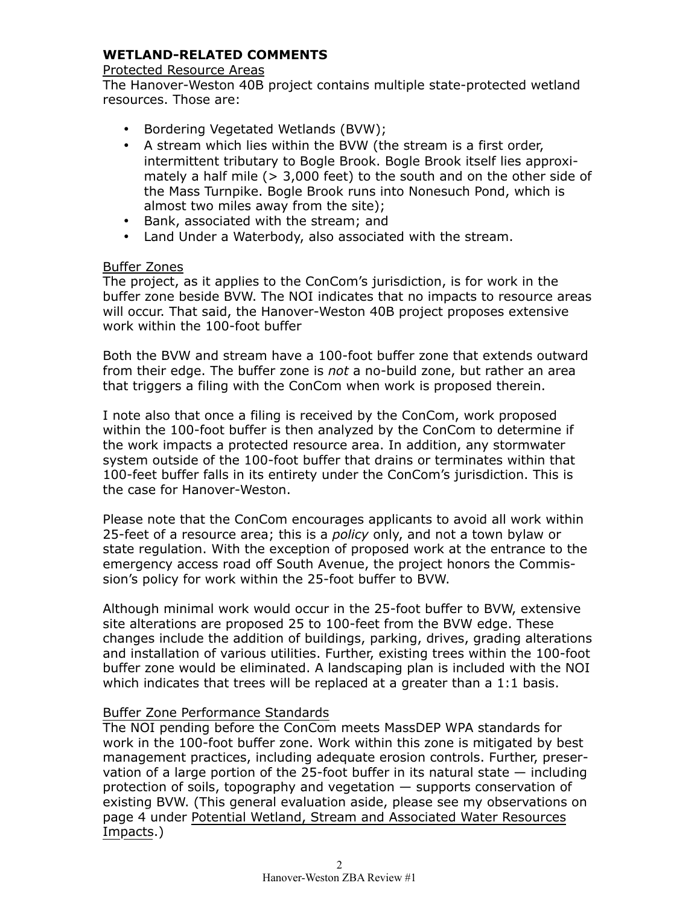# **WETLAND-RELATED COMMENTS**

#### Protected Resource Areas

The Hanover-Weston 40B project contains multiple state-protected wetland resources. Those are:

- Bordering Vegetated Wetlands (BVW);
- A stream which lies within the BVW (the stream is a first order, intermittent tributary to Bogle Brook. Bogle Brook itself lies approximately a half mile (> 3,000 feet) to the south and on the other side of the Mass Turnpike. Bogle Brook runs into Nonesuch Pond, which is almost two miles away from the site);
- Bank, associated with the stream; and
- Land Under a Waterbody, also associated with the stream.

## Buffer Zones

The project, as it applies to the ConCom's jurisdiction, is for work in the buffer zone beside BVW. The NOI indicates that no impacts to resource areas will occur. That said, the Hanover-Weston 40B project proposes extensive work within the 100-foot buffer

Both the BVW and stream have a 100-foot buffer zone that extends outward from their edge. The buffer zone is *not* a no-build zone, but rather an area that triggers a filing with the ConCom when work is proposed therein.

I note also that once a filing is received by the ConCom, work proposed within the 100-foot buffer is then analyzed by the ConCom to determine if the work impacts a protected resource area. In addition, any stormwater system outside of the 100-foot buffer that drains or terminates within that 100-feet buffer falls in its entirety under the ConCom's jurisdiction. This is the case for Hanover-Weston.

Please note that the ConCom encourages applicants to avoid all work within 25-feet of a resource area; this is a *policy* only, and not a town bylaw or state regulation. With the exception of proposed work at the entrance to the emergency access road off South Avenue, the project honors the Commission's policy for work within the 25-foot buffer to BVW.

Although minimal work would occur in the 25-foot buffer to BVW, extensive site alterations are proposed 25 to 100-feet from the BVW edge. These changes include the addition of buildings, parking, drives, grading alterations and installation of various utilities. Further, existing trees within the 100-foot buffer zone would be eliminated. A landscaping plan is included with the NOI which indicates that trees will be replaced at a greater than a 1:1 basis.

## Buffer Zone Performance Standards

The NOI pending before the ConCom meets MassDEP WPA standards for work in the 100-foot buffer zone. Work within this zone is mitigated by best management practices, including adequate erosion controls. Further, preservation of a large portion of the 25-foot buffer in its natural state — including protection of soils, topography and vegetation — supports conservation of existing BVW. (This general evaluation aside, please see my observations on page 4 under Potential Wetland, Stream and Associated Water Resources Impacts.)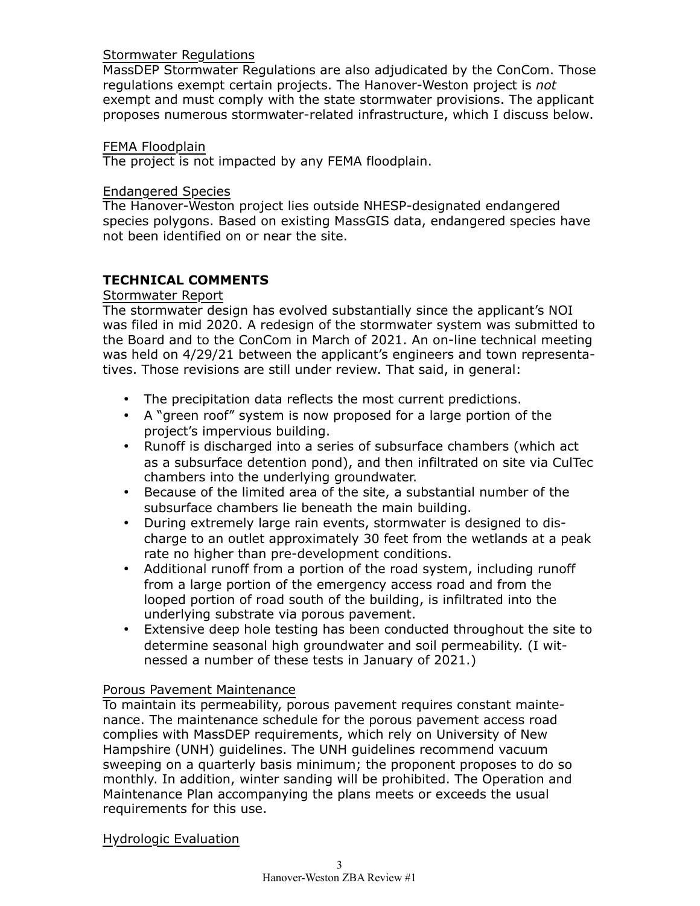## Stormwater Regulations

MassDEP Stormwater Regulations are also adjudicated by the ConCom. Those regulations exempt certain projects. The Hanover-Weston project is *not* exempt and must comply with the state stormwater provisions. The applicant proposes numerous stormwater-related infrastructure, which I discuss below.

## FEMA Floodplain

The project is not impacted by any FEMA floodplain.

#### Endangered Species

The Hanover-Weston project lies outside NHESP-designated endangered species polygons. Based on existing MassGIS data, endangered species have not been identified on or near the site.

# **TECHNICAL COMMENTS**

#### Stormwater Report

The stormwater design has evolved substantially since the applicant's NOI was filed in mid 2020. A redesign of the stormwater system was submitted to the Board and to the ConCom in March of 2021. An on-line technical meeting was held on 4/29/21 between the applicant's engineers and town representatives. Those revisions are still under review. That said, in general:

- The precipitation data reflects the most current predictions.
- A "green roof" system is now proposed for a large portion of the project's impervious building.
- Runoff is discharged into a series of subsurface chambers (which act as a subsurface detention pond), and then infiltrated on site via CulTec chambers into the underlying groundwater.
- Because of the limited area of the site, a substantial number of the subsurface chambers lie beneath the main building.
- During extremely large rain events, stormwater is designed to discharge to an outlet approximately 30 feet from the wetlands at a peak rate no higher than pre-development conditions.
- Additional runoff from a portion of the road system, including runoff from a large portion of the emergency access road and from the looped portion of road south of the building, is infiltrated into the underlying substrate via porous pavement.
- Extensive deep hole testing has been conducted throughout the site to determine seasonal high groundwater and soil permeability. (I witnessed a number of these tests in January of 2021.)

## Porous Pavement Maintenance

To maintain its permeability, porous pavement requires constant maintenance. The maintenance schedule for the porous pavement access road complies with MassDEP requirements, which rely on University of New Hampshire (UNH) guidelines. The UNH guidelines recommend vacuum sweeping on a quarterly basis minimum; the proponent proposes to do so monthly. In addition, winter sanding will be prohibited. The Operation and Maintenance Plan accompanying the plans meets or exceeds the usual requirements for this use.

Hydrologic Evaluation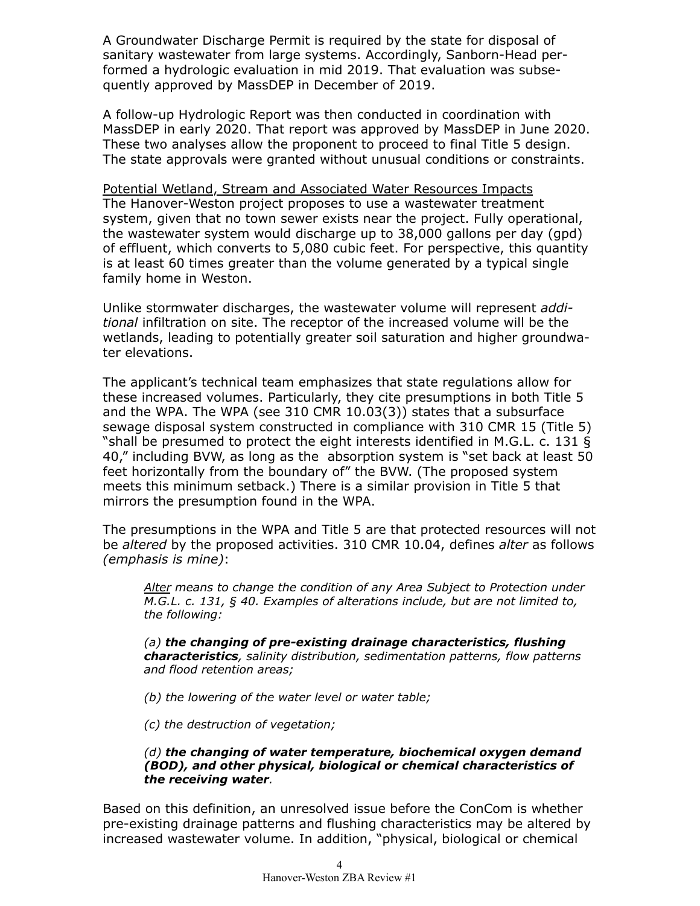A Groundwater Discharge Permit is required by the state for disposal of sanitary wastewater from large systems. Accordingly, Sanborn-Head performed a hydrologic evaluation in mid 2019. That evaluation was subsequently approved by MassDEP in December of 2019.

A follow-up Hydrologic Report was then conducted in coordination with MassDEP in early 2020. That report was approved by MassDEP in June 2020. These two analyses allow the proponent to proceed to final Title 5 design. The state approvals were granted without unusual conditions or constraints.

Potential Wetland, Stream and Associated Water Resources Impacts The Hanover-Weston project proposes to use a wastewater treatment system, given that no town sewer exists near the project. Fully operational, the wastewater system would discharge up to 38,000 gallons per day (gpd) of effluent, which converts to 5,080 cubic feet. For perspective, this quantity is at least 60 times greater than the volume generated by a typical single family home in Weston.

Unlike stormwater discharges, the wastewater volume will represent *additional* infiltration on site. The receptor of the increased volume will be the wetlands, leading to potentially greater soil saturation and higher groundwater elevations.

The applicant's technical team emphasizes that state regulations allow for these increased volumes. Particularly, they cite presumptions in both Title 5 and the WPA. The WPA (see 310 CMR 10.03(3)) states that a subsurface sewage disposal system constructed in compliance with 310 CMR 15 (Title 5) "shall be presumed to protect the eight interests identified in M.G.L. c. 131 § 40," including BVW, as long as the absorption system is "set back at least 50 feet horizontally from the boundary of" the BVW. (The proposed system meets this minimum setback.) There is a similar provision in Title 5 that mirrors the presumption found in the WPA.

The presumptions in the WPA and Title 5 are that protected resources will not be *altered* by the proposed activities. 310 CMR 10.04, defines *alter* as follows *(emphasis is mine)*:

*Alter means to change the condition of any Area Subject to Protection under M.G.L. c. 131, § 40. Examples of alterations include, but are not limited to, the following:*

*(a) the changing of pre-existing drainage characteristics, flushing characteristics, salinity distribution, sedimentation patterns, flow patterns and flood retention areas;*

*(b) the lowering of the water level or water table;*

*(c) the destruction of vegetation;*

#### *(d) the changing of water temperature, biochemical oxygen demand (BOD), and other physical, biological or chemical characteristics of the receiving water.*

Based on this definition, an unresolved issue before the ConCom is whether pre-existing drainage patterns and flushing characteristics may be altered by increased wastewater volume. In addition, "physical, biological or chemical